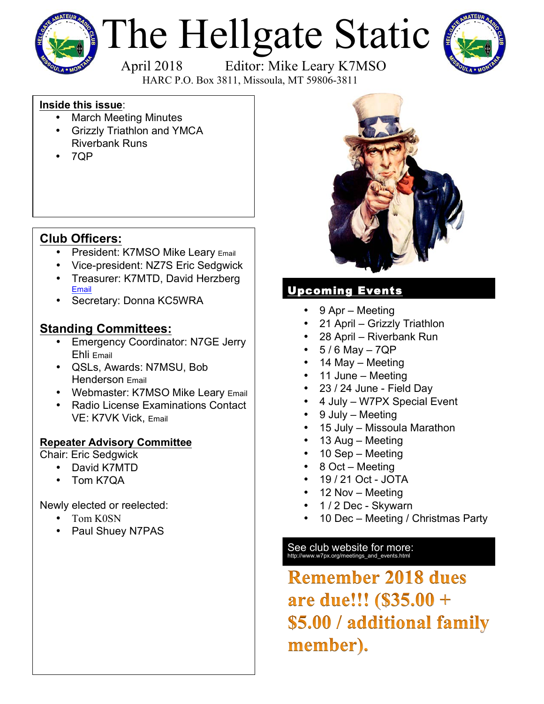

# The Hellgate Static<br>April 2018 Editor: Mike Leary K7MSO



HARC P.O. Box 3811, Missoula, MT 59806-3811

## **Inside this issue**:

- March Meeting Minutes
- Grizzly Triathlon and YMCA Riverbank Runs
- 7QP

# **Club Officers:**

- President: K7MSO Mike Leary Email
- Vice-president: NZ7S Eric Sedgwick
- Treasurer: K7MTD, David Herzberg Email
- Secretary: Donna KC5WRA

# **Standing Committees:**

- Emergency Coordinator: N7GE Jerry Ehli Email
- QSLs, Awards: N7MSU, Bob Henderson Email
- Webmaster: K7MSO Mike Leary Email
- Radio License Examinations Contact VE: K7VK Vick, Email

## **Repeater Advisory Committee**

Chair: Eric Sedgwick

- David K7MTD
- Tom K7QA

Newly elected or reelected:

- Tom K0SN
- Paul Shuey N7PAS



## Upcoming Events

- 9 Apr Meeting
- 21 April Grizzly Triathlon
- 28 April Riverbank Run
- $5/6$  May  $-7QP$
- 14 May Meeting
- 11 June Meeting
- 23 / 24 June Field Day
- 4 July W7PX Special Event
- 9 July Meeting
- 15 July Missoula Marathon
- 13 Aug Meeting
- 10 Sep Meeting
- 8 Oct Meeting
- 19 / 21 Oct JOTA
- 12 Nov Meeting
- 1 / 2 Dec Skywarn
- 10 Dec Meeting / Christmas Party

# See club website for more:<br>http://www.w7px.org/meetings\_and\_events.html

**Remember 2018 dues** are due!!! (\$35.00 + \$5.00 / additional family member).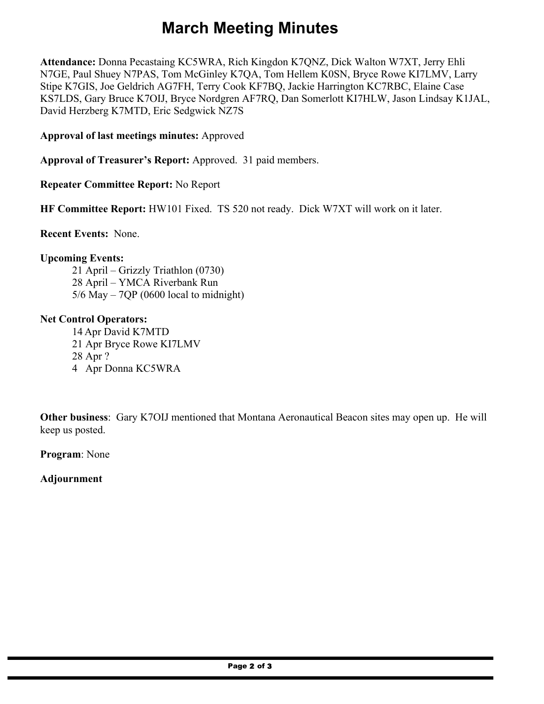# **March Meeting Minutes**

**Attendance:** Donna Pecastaing KC5WRA, Rich Kingdon K7QNZ, Dick Walton W7XT, Jerry Ehli N7GE, Paul Shuey N7PAS, Tom McGinley K7QA, Tom Hellem K0SN, Bryce Rowe KI7LMV, Larry Stipe K7GIS, Joe Geldrich AG7FH, Terry Cook KF7BQ, Jackie Harrington KC7RBC, Elaine Case KS7LDS, Gary Bruce K7OIJ, Bryce Nordgren AF7RQ, Dan Somerlott KI7HLW, Jason Lindsay K1JAL, David Herzberg K7MTD, Eric Sedgwick NZ7S

**Approval of last meetings minutes:** Approved

**Approval of Treasurer's Report:** Approved. 31 paid members.

**Repeater Committee Report:** No Report

**HF Committee Report:** HW101 Fixed. TS 520 not ready. Dick W7XT will work on it later.

**Recent Events:** None.

#### **Upcoming Events:**

21 April – Grizzly Triathlon (0730) 28 April – YMCA Riverbank Run  $5/6$  May – 7OP (0600 local to midnight)

#### **Net Control Operators:**

14 Apr David K7MTD 21 Apr Bryce Rowe KI7LMV 28 Apr ? 4 Apr Donna KC5WRA

**Other business**: Gary K7OIJ mentioned that Montana Aeronautical Beacon sites may open up. He will keep us posted.

**Program**: None

**Adjournment**